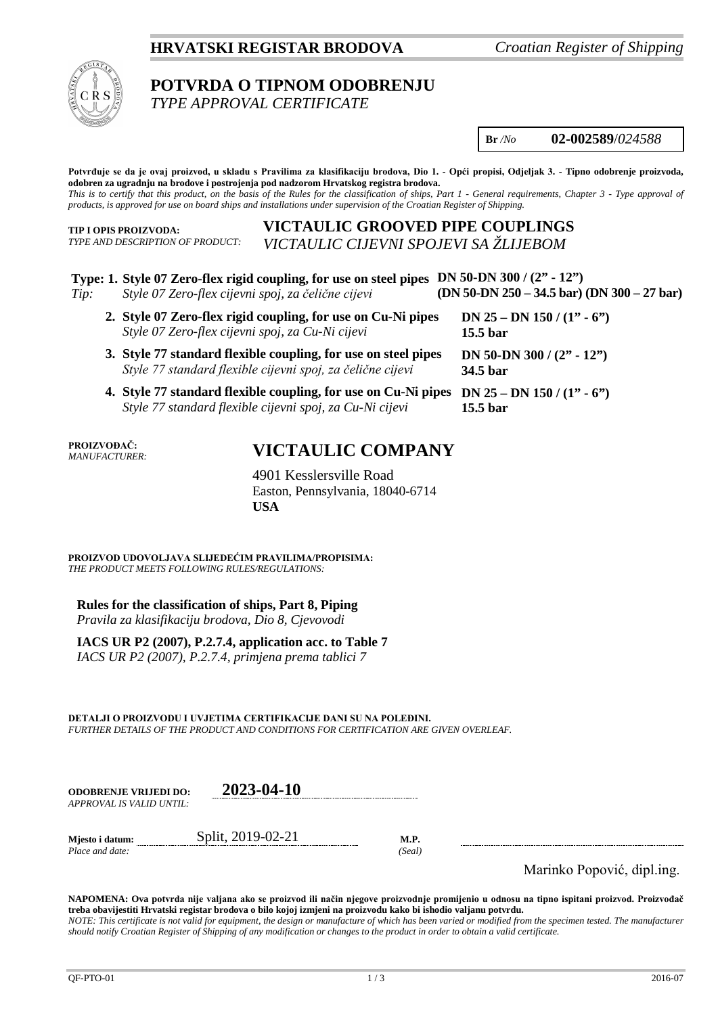## **HRVATSKI REGISTAR BRODOVA** *Croatian Register of Shipping*



# **POTVRDA O TIPNOM ODOBRENJU**

*TYPE APPROVAL CERTIFICATE*

**Br** */No* **02-002589**/*024588*

**(DN 50-DN 250 – 34.5 bar) (DN 300 – 27 bar)**

**Potvrđuje se da je ovaj proizvod, u skladu s Pravilima za klasifikaciju brodova, Dio 1. - Opći propisi, Odjeljak 3. - Tipno odobrenje proizvoda, odobren za ugradnju na brodove i postrojenja pod nadzorom Hrvatskog registra brodova.** *This is to certify that this product, on the basis of the Rules for the classification of ships, Part 1 - General requirements, Chapter 3 - Type approval of products, is approved for use on board ships and installations under supervision of the Croatian Register of Shipping.*

**TIP I OPIS PROIZVODA:** *TYPE AND DESCRIPTION OF PRODUCT:*

## **VICTAULIC GROOVED PIPE COUPLINGS** *VICTAULIC CIJEVNI SPOJEVI SA ŽLIJEBOM*

## **Type: 1. Style 07 Zero-flex rigid coupling, for use on steel pipes DN 50-DN 300 / (2" - 12")**

- *Tip: Style 07 Zero-flex cijevni spoj, za čelične cijevi*
	- **2. Style 07 Zero-flex rigid coupling, for use on Cu-Ni pipes**  *Style 07 Zero-flex cijevni spoj, za Cu-Ni cijevi* **3. Style 77 standard flexible coupling, for use on steel pipes**  *Style 77 standard flexible cijevni spoj, za čelične cijevi* **DN 25 – DN 150 / (1" - 6") 15.5 bar DN 50-DN 300 / (2" - 12") 34.5 bar**
	- **4. Style 77 standard flexible coupling, for use on Cu-Ni pipes DN 25 – DN 150 / (1" - 6")** *Style 77 standard flexible cijevni spoj, za Cu-Ni cijevi* **15.5 bar**

**PROIZVOĐAČ:** *MANUFACTURER:*

# **VICTAULIC COMPANY**

4901 Kesslersville Road Easton, Pennsylvania, 18040-6714 **USA**

**PROIZVOD UDOVOLJAVA SLIJEDEĆIM PRAVILIMA/PROPISIMA:** *THE PRODUCT MEETS FOLLOWING RULES/REGULATIONS:*

**Rules for the classification of ships, Part 8, Piping**

*Pravila za klasifikaciju brodova, Dio 8, Cjevovodi*

**IACS UR P2 (2007), P.2.7.4, application acc. to Table 7**

*IACS UR P2 (2007), P.2.7.4, primjena prema tablici 7*

**DETALJI O PROIZVODU I UVJETIMA CERTIFIKACIJE DANI SU NA POLEĐINI.** *FURTHER DETAILS OF THE PRODUCT AND CONDITIONS FOR CERTIFICATION ARE GIVEN OVERLEAF.*

| <b>ODOBRENJE VRLJEDI DO:</b><br>APPROVAL IS VALID UNTIL: | 2023-04-10        |                      |
|----------------------------------------------------------|-------------------|----------------------|
| Miesto i datum:<br>Place and date:                       | Split, 2019-02-21 | <b>M.P.</b><br>Seall |

Marinko Popović, dipl.ing.

**NAPOMENA: Ova potvrda nije valjana ako se proizvod ili način njegove proizvodnje promijenio u odnosu na tipno ispitani proizvod. Proizvođač treba obavijestiti Hrvatski registar brodova o bilo kojoj izmjeni na proizvodu kako bi ishodio valjanu potvrdu.**

*NOTE: This certificate is not valid for equipment, the design or manufacture of which has been varied or modified from the specimen tested. The manufacturer should notify Croatian Register of Shipping of any modification or changes to the product in order to obtain a valid certificate.*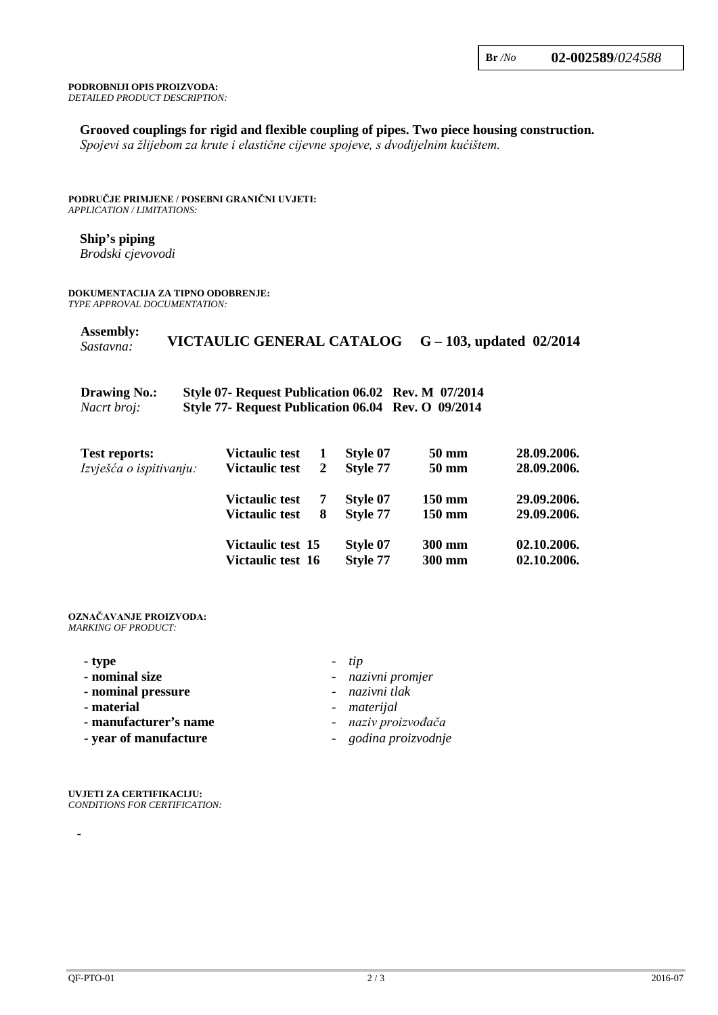#### **PODROBNIJI OPIS PROIZVODA:** *DETAILED PRODUCT DESCRIPTION:*

#### **Grooved couplings for rigid and flexible coupling of pipes. Two piece housing construction.**

*Spojevi sa žlijebom za krute i elastične cijevne spojeve, s dvodijelnim kućištem.*

#### **PODRUČJE PRIMJENE / POSEBNI GRANIČNI UVJETI:** *APPLICATION / LIMITATIONS:*

#### **Ship's piping**

*Brodski cjevovodi*

### **DOKUMENTACIJA ZA TIPNO ODOBRENJE:**

*TYPE APPROVAL DOCUMENTATION:*

| <b>Assembly:</b><br>Sastavna:      | VICTAULIC GENERAL CATALOG                                                                                |   |          |        | $G - 103$ , updated 02/2014 |
|------------------------------------|----------------------------------------------------------------------------------------------------------|---|----------|--------|-----------------------------|
| <b>Drawing No.:</b><br>Nacrt broj: | Style 07- Request Publication 06.02 Rev. M 07/2014<br>Style 77- Request Publication 06.04 Rev. O 09/2014 |   |          |        |                             |
| <b>Test reports:</b>               | <b>Victaulic test</b>                                                                                    | 1 | Style 07 | 50 mm  | 28.09.2006.                 |
| Izvješća o ispitivanju:            | <b>Victaulic test</b>                                                                                    | 2 | Style 77 | 50 mm  | 28.09.2006.                 |
|                                    | <b>Victaulic test</b>                                                                                    | 7 | Style 07 | 150 mm | 29.09.2006.                 |
|                                    | <b>Victaulic test</b>                                                                                    | 8 | Style 77 | 150 mm | 29.09.2006.                 |
|                                    | Victaulic test 15                                                                                        |   | Style 07 | 300 mm | 02.10.2006.                 |
|                                    | Victaulic test 16                                                                                        |   | Style 77 | 300 mm | 02.10.2006.                 |

#### **OZNAČAVANJE PROIZVODA:** *MARKING OF PRODUCT:*

| - type                | $- tip$              |
|-----------------------|----------------------|
| - nominal size        | - nazivni promjer    |
| - nominal pressure    | - nazivni tlak       |
| - material            | - materijal          |
| - manufacturer's name | - naziv proizvođača  |
| - year of manufacture | - godina proizvodnje |

**UVJETI ZA CERTIFIKACIJU:** *CONDITIONS FOR CERTIFICATION:*

**-**